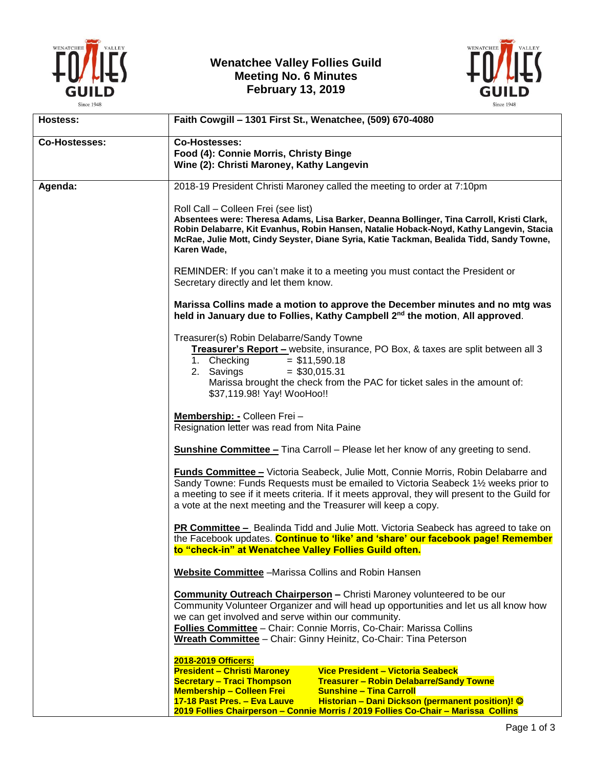

## **Wenatchee Valley Follies Guild Meeting No. 6 Minutes February 13, 2019**



| Hostess:             | Faith Cowgill - 1301 First St., Wenatchee, (509) 670-4080                                                                                                 |
|----------------------|-----------------------------------------------------------------------------------------------------------------------------------------------------------|
| <b>Co-Hostesses:</b> | Co-Hostesses:                                                                                                                                             |
|                      | Food (4): Connie Morris, Christy Binge                                                                                                                    |
|                      | Wine (2): Christi Maroney, Kathy Langevin                                                                                                                 |
|                      |                                                                                                                                                           |
| Agenda:              | 2018-19 President Christi Maroney called the meeting to order at 7:10pm                                                                                   |
|                      |                                                                                                                                                           |
|                      | Roll Call - Colleen Frei (see list)                                                                                                                       |
|                      | Absentees were: Theresa Adams, Lisa Barker, Deanna Bollinger, Tina Carroll, Kristi Clark,                                                                 |
|                      | Robin Delabarre, Kit Evanhus, Robin Hansen, Natalie Hoback-Noyd, Kathy Langevin, Stacia                                                                   |
|                      | McRae, Julie Mott, Cindy Seyster, Diane Syria, Katie Tackman, Bealida Tidd, Sandy Towne,<br>Karen Wade,                                                   |
|                      |                                                                                                                                                           |
|                      | REMINDER: If you can't make it to a meeting you must contact the President or                                                                             |
|                      | Secretary directly and let them know.                                                                                                                     |
|                      |                                                                                                                                                           |
|                      | Marissa Collins made a motion to approve the December minutes and no mtg was                                                                              |
|                      | held in January due to Follies, Kathy Campbell 2 <sup>nd</sup> the motion, All approved.                                                                  |
|                      |                                                                                                                                                           |
|                      | Treasurer(s) Robin Delabarre/Sandy Towne                                                                                                                  |
|                      | Treasurer's Report - website, insurance, PO Box, & taxes are split between all 3                                                                          |
|                      | 1. Checking<br>$= $11,590.18$                                                                                                                             |
|                      | 2. Savings<br>$=$ \$30,015.31                                                                                                                             |
|                      | Marissa brought the check from the PAC for ticket sales in the amount of:                                                                                 |
|                      | \$37,119.98! Yay! WooHoo!!                                                                                                                                |
|                      | Membership: - Colleen Frei -                                                                                                                              |
|                      | Resignation letter was read from Nita Paine                                                                                                               |
|                      |                                                                                                                                                           |
|                      | <b>Sunshine Committee -</b> Tina Carroll - Please let her know of any greeting to send.                                                                   |
|                      |                                                                                                                                                           |
|                      | <b>Funds Committee - Victoria Seabeck, Julie Mott, Connie Morris, Robin Delabarre and</b>                                                                 |
|                      | Sandy Towne: Funds Requests must be emailed to Victoria Seabeck 1½ weeks prior to                                                                         |
|                      | a meeting to see if it meets criteria. If it meets approval, they will present to the Guild for                                                           |
|                      | a vote at the next meeting and the Treasurer will keep a copy.                                                                                            |
|                      | <b>PR Committee –</b> Bealinda Tidd and Julie Mott. Victoria Seabeck has agreed to take on                                                                |
|                      | the Facebook updates. Continue to 'like' and 'share' our facebook page! Remember                                                                          |
|                      | to "check-in" at Wenatchee Valley Follies Guild often.                                                                                                    |
|                      |                                                                                                                                                           |
|                      | <b>Website Committee</b> - Marissa Collins and Robin Hansen                                                                                               |
|                      | <b>Community Outreach Chairperson - Christi Maroney volunteered to be our</b>                                                                             |
|                      | Community Volunteer Organizer and will head up opportunities and let us all know how                                                                      |
|                      | we can get involved and serve within our community.                                                                                                       |
|                      | Follies Committee - Chair: Connie Morris, Co-Chair: Marissa Collins                                                                                       |
|                      | Wreath Committee - Chair: Ginny Heinitz, Co-Chair: Tina Peterson                                                                                          |
|                      |                                                                                                                                                           |
|                      | 2018-2019 Officers:                                                                                                                                       |
|                      | <b>President - Christi Maroney</b><br>Vice President - Victoria Seabeck                                                                                   |
|                      | <b>Secretary - Traci Thompson</b><br><b>Treasurer - Robin Delabarre/Sandy Towne</b><br><b>Membership - Colleen Frei</b><br><b>Sunshine - Tina Carroll</b> |
|                      | Historian - Dani Dickson (permanent position)! ©<br>17-18 Past Pres. - Eva Lauve                                                                          |
|                      | 2019 Follies Chairperson - Connie Morris / 2019 Follies Co-Chair - Marissa Collins                                                                        |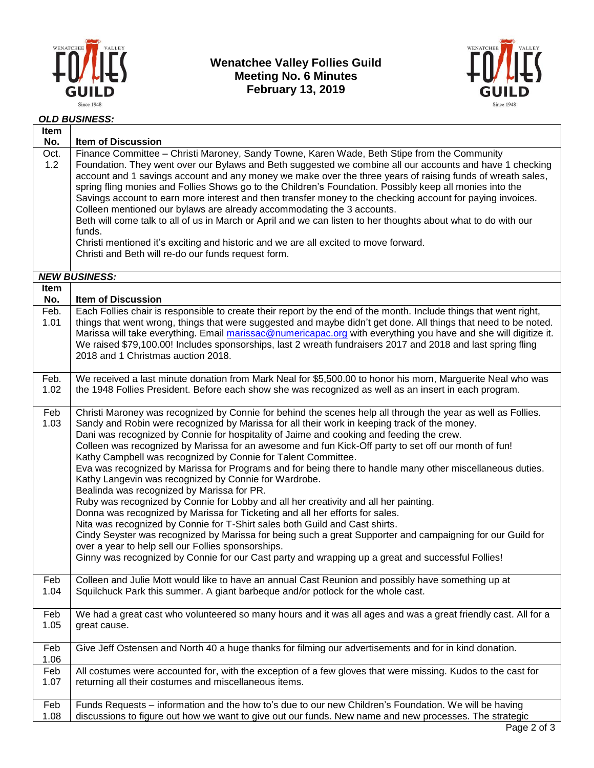

## **Wenatchee Valley Follies Guild Meeting No. 6 Minutes February 13, 2019**



## *OLD BUSINESS:*

| Item<br>No.        | <b>Item of Discussion</b>                                                                                                                                                                                                                                                                                                                                                                                                                                                                                                                                                                                                                                                                                                                                                                                                                                                                                                                                                                                                                                                                                                                                                                                                             |
|--------------------|---------------------------------------------------------------------------------------------------------------------------------------------------------------------------------------------------------------------------------------------------------------------------------------------------------------------------------------------------------------------------------------------------------------------------------------------------------------------------------------------------------------------------------------------------------------------------------------------------------------------------------------------------------------------------------------------------------------------------------------------------------------------------------------------------------------------------------------------------------------------------------------------------------------------------------------------------------------------------------------------------------------------------------------------------------------------------------------------------------------------------------------------------------------------------------------------------------------------------------------|
| Oct.<br>1.2        | Finance Committee - Christi Maroney, Sandy Towne, Karen Wade, Beth Stipe from the Community<br>Foundation. They went over our Bylaws and Beth suggested we combine all our accounts and have 1 checking<br>account and 1 savings account and any money we make over the three years of raising funds of wreath sales,<br>spring fling monies and Follies Shows go to the Children's Foundation. Possibly keep all monies into the<br>Savings account to earn more interest and then transfer money to the checking account for paying invoices.<br>Colleen mentioned our bylaws are already accommodating the 3 accounts.<br>Beth will come talk to all of us in March or April and we can listen to her thoughts about what to do with our<br>funds.<br>Christi mentioned it's exciting and historic and we are all excited to move forward.<br>Christi and Beth will re-do our funds request form.                                                                                                                                                                                                                                                                                                                                  |
|                    | <b>NEW BUSINESS:</b>                                                                                                                                                                                                                                                                                                                                                                                                                                                                                                                                                                                                                                                                                                                                                                                                                                                                                                                                                                                                                                                                                                                                                                                                                  |
| <b>Item</b><br>No. | <b>Item of Discussion</b>                                                                                                                                                                                                                                                                                                                                                                                                                                                                                                                                                                                                                                                                                                                                                                                                                                                                                                                                                                                                                                                                                                                                                                                                             |
| Feb.<br>1.01       | Each Follies chair is responsible to create their report by the end of the month. Include things that went right,<br>things that went wrong, things that were suggested and maybe didn't get done. All things that need to be noted.<br>Marissa will take everything. Email marissac@numericapac.org with everything you have and she will digitize it.<br>We raised \$79,100.00! Includes sponsorships, last 2 wreath fundraisers 2017 and 2018 and last spring fling<br>2018 and 1 Christmas auction 2018.                                                                                                                                                                                                                                                                                                                                                                                                                                                                                                                                                                                                                                                                                                                          |
| Feb.<br>1.02       | We received a last minute donation from Mark Neal for \$5,500.00 to honor his mom, Marguerite Neal who was<br>the 1948 Follies President. Before each show she was recognized as well as an insert in each program.                                                                                                                                                                                                                                                                                                                                                                                                                                                                                                                                                                                                                                                                                                                                                                                                                                                                                                                                                                                                                   |
| Feb<br>1.03        | Christi Maroney was recognized by Connie for behind the scenes help all through the year as well as Follies.<br>Sandy and Robin were recognized by Marissa for all their work in keeping track of the money.<br>Dani was recognized by Connie for hospitality of Jaime and cooking and feeding the crew.<br>Colleen was recognized by Marissa for an awesome and fun Kick-Off party to set off our month of fun!<br>Kathy Campbell was recognized by Connie for Talent Committee.<br>Eva was recognized by Marissa for Programs and for being there to handle many other miscellaneous duties.<br>Kathy Langevin was recognized by Connie for Wardrobe.<br>Bealinda was recognized by Marissa for PR.<br>Ruby was recognized by Connie for Lobby and all her creativity and all her painting.<br>Donna was recognized by Marissa for Ticketing and all her efforts for sales.<br>Nita was recognized by Connie for T-Shirt sales both Guild and Cast shirts.<br>Cindy Seyster was recognized by Marissa for being such a great Supporter and campaigning for our Guild for<br>over a year to help sell our Follies sponsorships.<br>Ginny was recognized by Connie for our Cast party and wrapping up a great and successful Follies! |
| Feb<br>1.04        | Colleen and Julie Mott would like to have an annual Cast Reunion and possibly have something up at<br>Squilchuck Park this summer. A giant barbeque and/or potlock for the whole cast.                                                                                                                                                                                                                                                                                                                                                                                                                                                                                                                                                                                                                                                                                                                                                                                                                                                                                                                                                                                                                                                |
| Feb<br>1.05        | We had a great cast who volunteered so many hours and it was all ages and was a great friendly cast. All for a<br>great cause.                                                                                                                                                                                                                                                                                                                                                                                                                                                                                                                                                                                                                                                                                                                                                                                                                                                                                                                                                                                                                                                                                                        |
| Feb<br>1.06        | Give Jeff Ostensen and North 40 a huge thanks for filming our advertisements and for in kind donation.                                                                                                                                                                                                                                                                                                                                                                                                                                                                                                                                                                                                                                                                                                                                                                                                                                                                                                                                                                                                                                                                                                                                |
| Feb<br>1.07        | All costumes were accounted for, with the exception of a few gloves that were missing. Kudos to the cast for<br>returning all their costumes and miscellaneous items.                                                                                                                                                                                                                                                                                                                                                                                                                                                                                                                                                                                                                                                                                                                                                                                                                                                                                                                                                                                                                                                                 |
| Feb<br>1.08        | Funds Requests - information and the how to's due to our new Children's Foundation. We will be having<br>discussions to figure out how we want to give out our funds. New name and new processes. The strategic<br>Dao 2 of 3                                                                                                                                                                                                                                                                                                                                                                                                                                                                                                                                                                                                                                                                                                                                                                                                                                                                                                                                                                                                         |